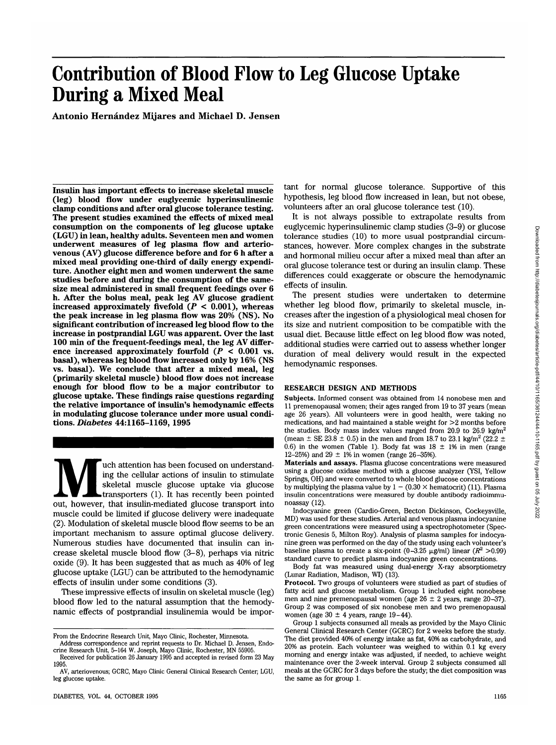# **Contribution of Blood Flow to Leg Glucose Uptake During a Mixed Meal**

**Antonio Hernandez Mijares and Michael D. Jensen**

**Insulin has important effects to increase skeletal muscle (leg) blood flow under euglycemic hyperinsulinemic** The present studies examined the effects of mixed meal **consumption on the components of leg glucose uptake (LGU) in lean, healthy adults. Seventeen men and women underwent measures of leg plasma flow and arterio- venous (AV) glucose difference before and for 6 h after a mixed meal providing one-third of daily energy expendi- ture. Another eight men and women underwent the same studies before and during the consumption of the same- size meal administered in small frequent feedings over 6 h. After the bolus meal, peak leg AV glucose gradient increased approximately fivefold (P < 0.001), whereas the peak increase in leg plasma flow was 20% (NS). No significant contribution of increased leg blood flow to the increase in postprandial LGU was apparent. Over the last 100 min of the frequent-feedings meal, the leg AV differ- ence increased approximately fourfold (P < 0.001 vs. basal), whereas leg blood flow increased only by 16% (NS vs. basal). We conclude that after a mixed meal, leg (primarily skeletal muscle) blood flow does not increase enough for blood flow to be a major contributor to glucose uptake. These findings raise questions regarding the relative importance of insulin's hemodynamic effects in modulating glucose tolerance under more usual condi- tions.** *Diabetes* **44:1165-1169, 1995**

**Example 18 attention has been focused on understanding the cellular actions of insulin to stimulate skeletal muscle glucose uptake via glucose transporters (1). It has recently been pointed out, however, that insulin-medi** skeletal muscle glucose uptake via glucose transporters (1). It has recently been pointed muscle could be limited if glucose delivery were inadequate (2). Modulation of skeletal muscle blood flow seems to be an important mechanism to assure optimal glucose delivery. Numerous studies have documented that insulin can in crease skeletal muscle blood flow (3-8), perhaps via nitric oxide (9). It has been suggested that as much as 40% of leg glucose uptake (LGU) can be attributed to the hemodynamic effects of insulin under some conditions (3).

These impressive effects of insulin on skeletal muscle (leg) blood flow led to the natural assumption that the hemody namic effects of postprandial insulinemia would be important for normal glucose tolerance. Supportive of this hypothesis, leg blood flow increased in lean, but not obese, volunteers after an oral glucose tolerance test (10).

It is not always possible to extrapolate results from euglycemic hyperinsulinemic clamp studies (3-9) or glucose tolerance studies (10) to more usual postprandial circumstances, however. More complex changes in the substrate and hormonal milieu occur after a mixed meal than after an oral glucose tolerance test or during an insulin clamp. These differences could exaggerate or obscure the hemodynamic effects of insulin.

The present studies were undertaken to determine whether leg blood flow, primarily to skeletal muscle, increases after the ingestion of a physiological meal chosen for its size and nutrient composition to be compatible with the usual diet. Because little effect on leg blood flow was noted, additional studies were carried out to assess whether longer duration of meal delivery would result in the expected hemodynamic responses.

# **RESEARCH DESIGN AND METHODS**

**Subjects.** Informed consent was obtained from 14 nonobese men and 11 premenopausal women; their ages ranged from 19 to 37 years (mean age 26 years). All volunteers were in good health, were taking no medications, and had maintained a stable weight for >2 months before the studies. Body mass index values ranged from 20.9 to 26.9 kg/m<sup>2</sup> (mean  $\pm$  SE 23.8  $\pm$  0.5) in the men and from 18.7 to 23.1 kg/m<sup>2</sup> (22.2  $\pm$ 0.6) in the women (Table 1). Body fat was  $18 \pm 1\%$  in men (range 12-25%) and 29  $\pm$  1% in women (range 26-35%).

**Materials and assays.** Plasma glucose concentrations were measured using a glucose oxidase method with a glucose analyzer (YSI, Yellow Springs, OH) and were converted to whole blood glucose concentrations by multiplying the plasma value by  $1 - (0.30 \times \text{hematocrit})$  (11). Plasma insulin concentrations were measured by double antibody radioimmunoassay (12).

Indocyanine green (Cardio-Green, Becton Dickinson, Cockeysville, MD) was used for these studies. Arterial and venous plasma indocyanine green concentrations were measured using a spectrophotometer (Spectronic Genesis 5, Milton Roy). Analysis of plasma samples for indocyanine green was performed on the day of the study using each volunteer's baseline plasma to create a six-point  $(0-3.25 \mu g/\text{ml})$  linear  $(R^2 > 0.99)$ standard curve to predict plasma indocyanine green concentrations.

Body fat was measured using dual-energy X-ray absorptiometry (Lunar Radiation, Madison, WI) (13).

**Protocol.** Two groups of volunteers were studied as part of studies of fatty acid and glucose metabolism. Group 1 included eight nonobese men and nine premenopausal women (age  $26 \pm 2$  years, range  $20-37$ ). Group 2 was composed of six nonobese men and two premenopausal women (age  $30 \pm 4$  years, range  $19-44$ ).

Group 1 subjects consumed all meals as provided by the Mayo Clinic General Clinical Research Center (GCRC) for 2 weeks before the study. The diet provided 40% of energy intake as fat, 40% as carbohydrate, and 20% as protein. Each volunteer was weighed to within 0.1 kg every morning and energy intake was adjusted, if needed, to achieve weight maintenance over the 2-week interval. Group 2 subjects consumed all meals at the GCRC for 3 days before the study; the diet composition was the same as for group 1.

From the Endocrine Research Unit, Mayo Clinic, Rochester, Minnesota.

Address correspondence and reprint requests to Dr. Michael D. Jensen, Endo- Received for publication 26 January 1995 and accepted in revised form 23 May 1995.

AV, arteriovenous; GCRC, Mayo Clinic General Clinical Research Center; LGU, leg glucose uptake.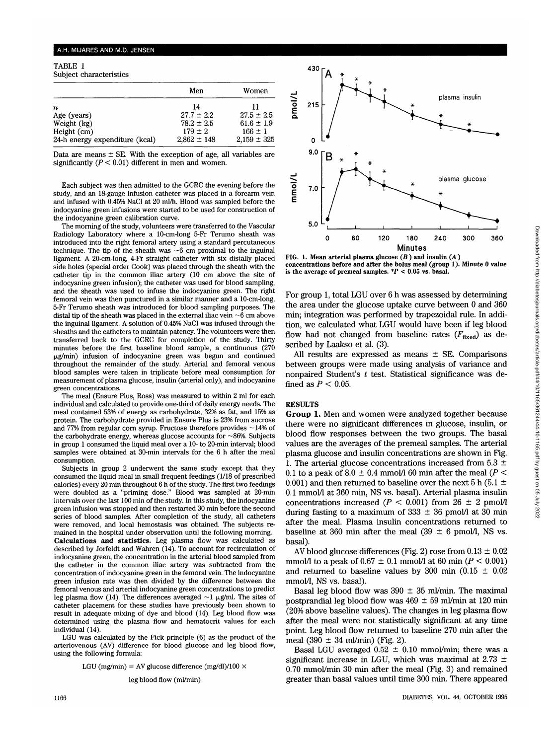#### A.H. MIJARES AND M.D. JENSEN

TABLE 1 TABLE 1 430<br>Subject characteristics

|                                | Men             | Women           |
|--------------------------------|-----------------|-----------------|
| п                              | 14              | 11              |
| Age (years)                    | $27.7 \pm 2.2$  | $27.5 \pm 2.5$  |
| Weight (kg)                    | $78.2 \pm 2.5$  | $61.6 \pm 1.9$  |
| Height (cm)                    | $179 \pm 2$     | $166 \pm 1$     |
| 24-h energy expenditure (kcal) | $2,862 \pm 148$ | $2,159 \pm 325$ |

Data are means  $\pm$  SE. With the exception of age, all variables are significantly ( $P < 0.01$ ) different in men and women.

Each subject was then admitted to the GCRC the evening before the study, and an 18-gauge infusion catheter was placed in a forearm vein and infused with 0.45% NaCl at 20 ml/h. Blood was sampled before the indocyanine green infusions were started to be used for construction of the indocyanine green calibration curve.

The morning of the study, volunteers were transferred to the Vascular Radiology Laboratory where a 10-cm-long 5-Fr Terumo sheath was introduced into the right femoral artery using a standard percutaneous technique. The tip of the sheath was  $\sim$ 6 cm proximal to the inguinal ligament. A 20-cm-long, 4-Fr straight catheter with six distally placed side holes (special order Cook) was placed through the sheath with the catheter tip in the common iliac artery (10 cm above the site of indocyanine green infusion); the catheter was used for blood sampling, and the sheath was used to infuse the indocyanine green. The right femoral vein was then punctured in a similar manner and a 10-cm-long, 5-Fr Terumo sheath was introduced for blood sampling purposes. The distal tip of the sheath was placed in the external iliac vein  $\sim$ 6 cm above the inguinal ligament. A solution of 0.45% NaCl was infused through the sheaths and the catheters to maintain patency. The volunteers were then transferred back to the GCRC for completion of the study. Thirty minutes before the first baseline blood sample, a continuous (270  $\mu$ g/min) infusion of indocyanine green was begun and continued throughout the remainder of the study. Arterial and femoral venous blood samples were taken in triplicate before meal consumption for measurement of plasma glucose, insulin (arterial only), and indocyanine green concentrations.

The meal (Ensure Plus, Ross) was measured to within 2 ml for each individual and calculated to provide one-third of daily energy needs. The meal contained 53% of energy as carbohydrate, 32% as fat, and 15% as protein. The carbohydrate provided in Ensure Plus is 23% from sucrose and 77% from regular corn syrup. Fructose therefore provides  $\sim$  14% of the carbohydrate energy, whereas glucose accounts for  $\sim$ 86%. Subjects in group 1 consumed the liquid meal over a 10- to 20-min interval; blood samples were obtained at 30-min intervals for the 6 h after the meal consumption.

Subjects in group 2 underwent the same study except that they consumed the liquid meal in small frequent feedings (1/18 of prescribed calories) every 20 min throughout 6 h of the study. The first two feedings were doubled as a "priming dose." Blood was sampled at 20-min intervals over the last 100 min of the study. In this study, the indocyanine green infusion was stopped and then restarted 30 min before the second series of blood samples. After completion of the study, all catheters were removed, and local hemostasis was obtained. The subjects remained in the hospital under observation until the following morning. **Calculations and statistics.** Leg plasma flow was calculated as described by Jorfeldt and Wahren (14). To account for recirculation of indocyanine green, the concentration in the arterial blood sampled from the catheter in the common iliac artery was subtracted from the concentration of indocyanine green in the femoral vein. The indocyanine green infusion rate was then divided by the difference between the femoral venous and arterial indocyanine green concentrations to predict leg plasma flow (14). The differences averaged  $\sim$ 1  $\mu$ g/ml. The sites of catheter placement for these studies have previously been shown to result in adequate mixing of dye and blood (14). Leg blood flow was determined using the plasma flow and hematocrit values for each individual (14).

LGU was calculated by the Fick principle (6) as the product of the arteriovenous (AV) difference for blood glucose and leg blood flow, using the following formula:

LGU (mg/min) = AV glucose difference (mg/dl)/100  $\times$ 

#### leg blood flow (ml/min)



**FIG. 1. Mean arterial plasma glucose** *(B* **) and insulin (A ) concentrations before and after the bolus meal (group 1). Minute 0 value is the average of premeal samples.** *\*P* **< 0.05 vs. basal.**

For group 1, total LGU over 6 h was assessed by determining the area under the glucose uptake curve between 0 and 360 min; integration was performed by trapezoidal rule. In addition, we calculated what LGU would have been if leg blood flow had not changed from baseline rates  $(F_{\text{fixed}})$  as described by Laakso et al. (3).

All results are expressed as means  $\pm$  SE. Comparisons between groups were made using analysis of variance and nonpaired Student's *t* test. Statistical significance was defined as *P <* 0.05.

### RESULTS

**Group 1.** Men and women were analyzed together because there were no significant differences in glucose, insulin, or blood flow responses between the two groups. The basal values are the averages of the premeal samples. The arterial plasma glucose and insulin concentrations are shown in Fig. 1. The arterial glucose concentrations increased from 5.3  $\pm$ 0.1 to a peak of 8.0  $\pm$  0.4 mmol/1 60 min after the meal (P < 0.001) and then returned to baseline over the next 5 h (5.1  $\pm$ 0.1 mmol/1 at 360 min, NS vs. basal). Arterial plasma insulin concentrations increased  $(P < 0.001)$  from  $26 \pm 2$  pmol/l during fasting to a maximum of  $333 \pm 36$  pmol/l at 30 min after the meal. Plasma insulin concentrations returned to baseline at 360 min after the meal (39  $\pm$  6 pmol/l, NS vs. basal).

AV blood glucose differences (Fig. 2) rose from  $0.13 \pm 0.02$ mmol/1 to a peak of 0.67 ± 0.1 mmol/1 at 60 min *(P <* 0.001) and returned to baseline values by 300 min  $(0.15 \pm 0.02)$ mmol/l, NS vs. basal).

Basal leg blood flow was  $390 \pm 35$  ml/min. The maximal postprandial leg blood flow was  $469 \pm 59$  ml/min at 120 min (20% above baseline values). The changes in leg plasma flow after the meal were not statistically significant at any time point. Leg blood flow returned to baseline 270 min after the meal  $(390 \pm 34 \text{ ml/min})$  (Fig. 2).

Basal LGU averaged  $0.52 \pm 0.10$  mmol/min; there was a significant increase in LGU, which was maximal at 2.73  $\pm$ 0.70 mmol/min 30 min after the meal (Fig. 3) and remained greater than basal values until time 300 min. There appeared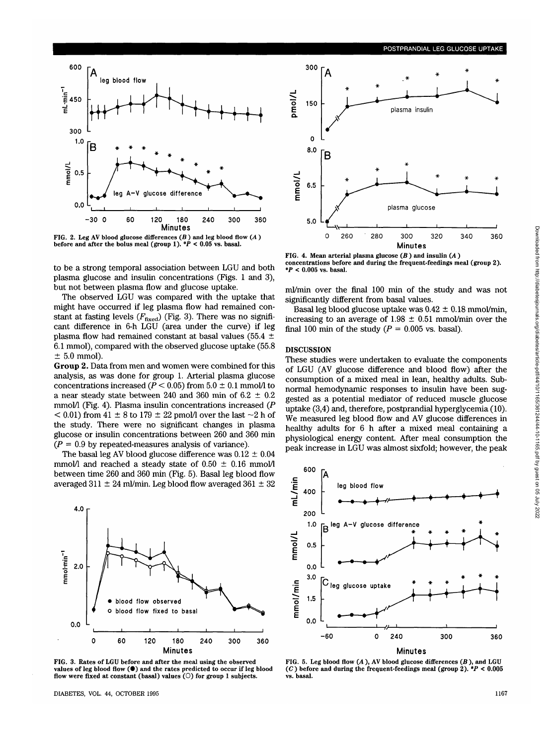



FIG. 2. Leg AV blood glucose differences (B ) and leg blood flow *{A* ) before and after the bolus meal (group 1).  $*P < 0.05$  vs. basal.

to be a strong temporal association between LGU and both plasma glucose and insulin concentrations (Figs. 1 and 3), but not between plasma flow and glucose uptake.

The observed LGU was compared with the uptake that might have occurred if leg plasma flow had remained constant at fasting levels ( $F_{\text{fixed}}$ ) (Fig. 3). There was no significant difference in 6-h LGU (area under the curve) if leg plasma flow had remained constant at basal values (55.4  $\pm$ 6.1 mmol), compared with the observed glucose uptake (55.8  $± 5.0$  mmol).

**Group 2.** Data from men and women were combined for this analysis, as was done for group 1. Arterial plasma glucose concentrations increased  $(P < 0.05)$  from  $5.0 \pm 0.1$  mmol/l to a near steady state between 240 and 360 min of  $6.2 \pm 0.2$ mmol/1 (Fig. 4). Plasma insulin concentrations increased *(P*  $<$  0.01) from 41  $\pm$  8 to 179  $\pm$  22 pmol/1 over the last  $\sim$ 2 h of the study. There were no significant changes in plasma glucose or insulin concentrations between 260 and 360 min  $(P = 0.9$  by repeated-measures analysis of variance).

The basal leg AV blood glucose difference was  $0.12 \pm 0.04$ mmol/1 and reached a steady state of  $0.50 \pm 0.16$  mmol/1 between time 260 and 360 min (Fig. 5). Basal leg blood flow averaged  $311 \pm 24$  ml/min. Leg blood flow averaged  $361 \pm 32$ 



FIG. 3. Rates of LGU before and after the meal using the observed values of leg blood flow  $(①)$  and the rates predicted to occur if leg blood flow were fixed at constant (basal) values  $(O)$  for group 1 subjects.

DIABETES, VOL. 44, OCTOBER 1995 1167



concentrations before and during the frequent-feedings meal (group 2). *\*P <* 0.005 vs. basal.

ml/min over the final 100 min of the study and was not significantly different from basal values.

Basal leg blood glucose uptake was  $0.42 \pm 0.18$  mmol/min, increasing to an average of  $1.98 \pm 0.51$  mmol/min over the final 100 min of the study ( $P = 0.005$  vs. basal).

# **DISCUSSION**

These studies were undertaken to evaluate the components of LGU (AV glucose difference and blood flow) after the consumption of a mixed meal in lean, healthy adults. Subnormal hemodynamic responses to insulin have been suggested as a potential mediator of reduced muscle glucose uptake (3,4) and, therefore, postprandial hyperglycemia (10). We measured leg blood flow and AV glucose differences in healthy adults for 6 h after a mixed meal containing a physiological energy content. After meal consumption the peak increase in LGU was almost sixfold; however, the peak



FIG. 5. Leg blood flow *(A* ), AV blood glucose differences *(B* ), and LGU (C) before and during the frequent-feedings meal (group 2). *\*P <* 0.005 vs. basal.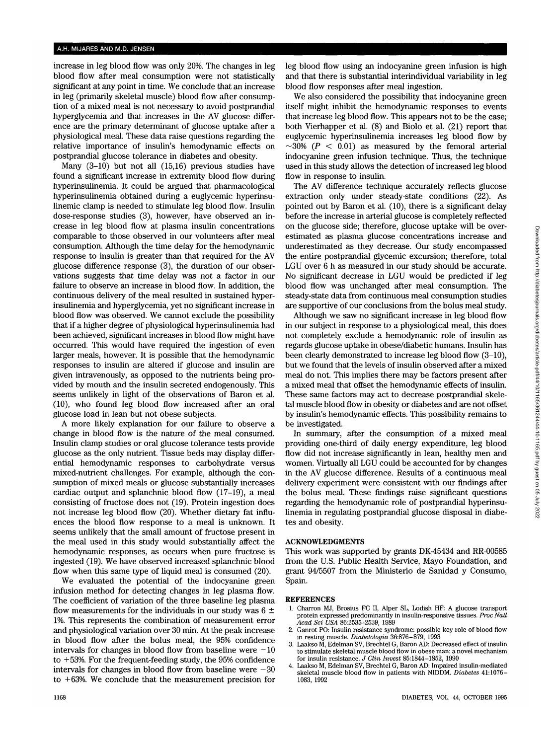# A.H. MIJARES AND M.D. JENSEN

increase in leg blood flow was only 20%. The changes in leg blood flow after meal consumption were not statistically significant at any point in time. We conclude that an increase in leg (primarily skeletal muscle) blood flow after consumption of a mixed meal is not necessary to avoid postprandial hyperglycemia and that increases in the AV glucose difference are the primary determinant of glucose uptake after a physiological meal. These data raise questions regarding the relative importance of insulin's hemodynamic effects on postprandial glucose tolerance in diabetes and obesity.

Many (3-10) but not all (15,16) previous studies have found a significant increase in extremity blood flow during hyperinsulinemia. It could be argued that pharmacological hyperinsulinemia obtained during a euglycemic hyperinsulinemic clamp is needed to stimulate leg blood flow. Insulin dose-response studies (3), however, have observed an increase in leg blood flow at plasma insulin concentrations comparable to those observed in our volunteers after meal consumption. Although the time delay for the hemodynamic response to insulin is greater than that required for the AV glucose difference response (3), the duration of our observations suggests that time delay was not a factor in our failure to observe an increase in blood flow. In addition, the continuous delivery of the meal resulted in sustained hyperinsulinemia and hyperglycemia, yet no significant increase in blood flow was observed. We cannot exclude the possibility that if a higher degree of physiological hyperinsulinemia had been achieved, significant increases in blood flow might have occurred. This would have required the ingestion of even larger meals, however. It is possible that the hemodynamic responses to insulin are altered if glucose and insulin are given intravenously, as opposed to the nutrients being provided by mouth and the insulin secreted endogenously. This seems unlikely in light of the observations of Baron et al. (10), who found leg blood flow increased after an oral glucose load in lean but not obese subjects.

A more likely explanation for our failure to observe a change in blood flow is the nature of the meal consumed. Insulin clamp studies or oral glucose tolerance tests provide glucose as the only nutrient. Tissue beds may display differential hemodynamic responses to carbohydrate versus mixed-nutrient challenges. For example, although the consumption of mixed meals or glucose substantially increases cardiac output and splanchnic blood flow (17-19), a meal consisting of fructose does not (19). Protein ingestion does not increase leg blood flow (20). Whether dietary fat influences the blood flow response to a meal is unknown. It seems unlikely that the small amount of fructose present in the meal used in this study would substantially affect the hemodynamic responses, as occurs when pure fructose is ingested (19). We have observed increased splanchnic blood flow when this same type of liquid meal is consumed (20).

We evaluated the potential of the indocyanine green infusion method for detecting changes in leg plasma flow. The coefficient of variation of the three baseline leg plasma flow measurements for the individuals in our study was  $6 \pm$ 1%. This represents the combination of measurement error and physiological variation over 30 min. At the peak increase in blood flow after the bolus meal, the 95% confidence intervals for changes in blood flow from baseline were  $-10$ to +53%. For the frequent-feeding study, the 95% confidence intervals for changes in blood flow from baseline were  $-30$ to +63%. We conclude that the measurement precision for leg blood flow using an indocyanine green infusion is high and that there is substantial interindividual variability in leg blood flow responses after meal ingestion.

We also considered the possibility that indocyanine green itself might inhibit the hemodynamic responses to events that increase leg blood flow. This appears not to be the case; both Vierhapper et al. (8) and Biolo et al. (21) report that euglycemic hyperinsulinemia increases leg blood flow by  $\sim$ 30% ( $P < 0.01$ ) as measured by the femoral arterial indocyanine green infusion technique. Thus, the technique used in this study allows the detection of increased leg blood flow in response to insulin.

The AV difference technique accurately reflects glucose extraction only under steady-state conditions (22). As pointed out by Baron et al. (10), there is a significant delay before the increase in arterial glucose is completely reflected on the glucose side; therefore, glucose uptake will be overestimated as plasma glucose concentrations increase and underestimated as they decrease. Our study encompassed the entire postprandial glycemic excursion; therefore, total LGU over 6 h as measured in our study should be accurate. No significant decrease in LGU would be predicted if leg blood flow was unchanged after meal consumption. The steady-state data from continuous meal consumption studies are supportive of our conclusions from the bolus meal study.

Although we saw no significant increase in leg blood flow in our subject in response to a physiological meal, this does not completely exclude a hemodynamic role of insulin as regards glucose uptake in obese/diabetic humans. Insulin has been clearly demonstrated to increase leg blood flow (3-10), but we found that the levels of insulin observed after a mixed meal do not. This implies there may be factors present after a mixed meal that offset the hemodynamic effects of insulin. These same factors may act to decrease postprandial skeletal muscle blood flow in obesity or diabetes and are not offset by insulin's hemodynamic effects. This possibility remains to be investigated.

In summary, after the consumption of a mixed meal providing one-third of daily energy expenditure, leg blood flow did not increase significantly in lean, healthy men and women. Virtually all LGU could be accounted for by changes in the AV glucose difference. Results of a continuous meal delivery experiment were consistent with our findings after the bolus meal. These findings raise significant questions regarding the hemodynamic role of postprandial hyperinsulinemia in regulating postprandial glucose disposal in diabetes and obesity.

# ACKNOWLEDGMENTS

This work was supported by grants DK-45434 and RR-00585 from the U.S. Public Health Service, Mayo Foundation, and grant 94/5507 from the Ministerio de Sanidad y Consumo, Spain.

#### REFERENCES

- 1. Charron MJ, Brosius FC II, Alper SL, Lodish HF: A glucose transport protein expressed predominantly in insulin-responsive tissues. *Proc Natl Acad Sci USA* 86:2535-2539, 1989
- 2. Ganrot PO: Insulin resistance syndrome: possible key role of blood flow in resting muscle. *Diabetologia* 36:876-879, 1993
- 3. Laakso M, Edelman SV, Brechtel G, Baron AD: Decreased effect of insulin to stimulate skeletal muscle blood flow in obese man: a novel mechanism for insulin resistance. *J Clin Invest* 85:1844-1852, 1990
- 4. Laakso M, Edelman SV, Brechtel G, Baron AD: Impaired insulin-mediated skeletal muscle blood flow in patients with NIDDM. *Diabetes* 41:1076- 1083, 1992

Downloaded from http://diabetesjournals.org/diabetes/article-pdf/44/10/1165/3612444-10-1165.pdf by guest on 05 July 2022